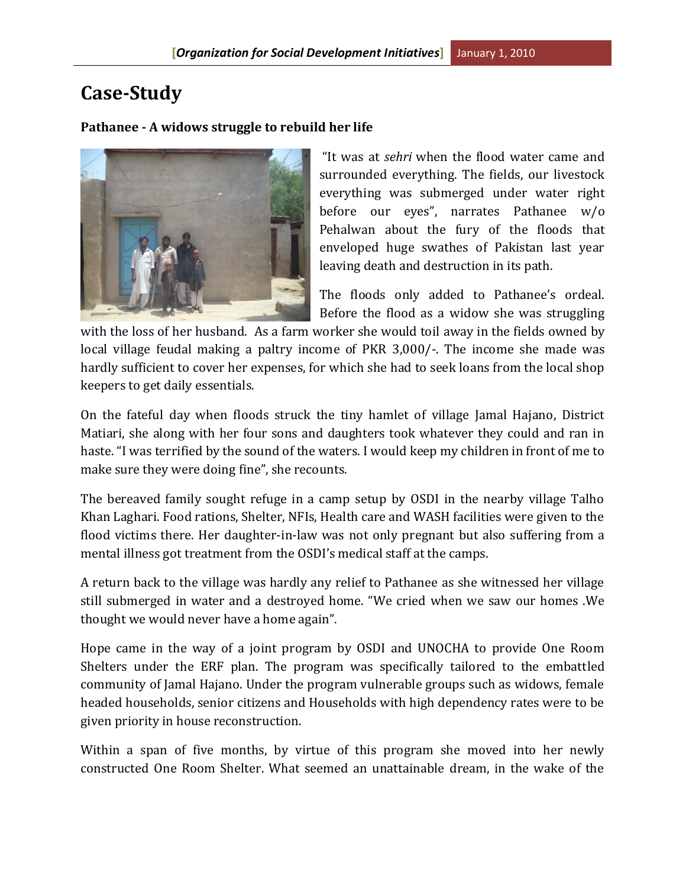## **Case-Study**

## **Pathanee - A widows struggle to rebuild her life**



"It was at *sehri* when the flood water came and surrounded everything. The fields, our livestock everything was submerged under water right before our eyes", narrates Pathanee w/o Pehalwan about the fury of the floods that enveloped huge swathes of Pakistan last year leaving death and destruction in its path.

The floods only added to Pathanee's ordeal. Before the flood as a widow she was struggling

with the loss of her husband. As a farm worker she would toil away in the fields owned by local village feudal making a paltry income of PKR 3,000/-. The income she made was hardly sufficient to cover her expenses, for which she had to seek loans from the local shop keepers to get daily essentials.

On the fateful day when floods struck the tiny hamlet of village Jamal Hajano, District Matiari, she along with her four sons and daughters took whatever they could and ran in haste. "I was terrified by the sound of the waters. I would keep my children in front of me to make sure they were doing fine", she recounts.

The bereaved family sought refuge in a camp setup by OSDI in the nearby village Talho Khan Laghari. Food rations, Shelter, NFIs, Health care and WASH facilities were given to the flood victims there. Her daughter-in-law was not only pregnant but also suffering from a mental illness got treatment from the OSDI's medical staff at the camps.

A return back to the village was hardly any relief to Pathanee as she witnessed her village still submerged in water and a destroyed home. "We cried when we saw our homes .We thought we would never have a home again".

Hope came in the way of a joint program by OSDI and UNOCHA to provide One Room Shelters under the ERF plan. The program was specifically tailored to the embattled community of Jamal Hajano. Under the program vulnerable groups such as widows, female headed households, senior citizens and Households with high dependency rates were to be given priority in house reconstruction.

Within a span of five months, by virtue of this program she moved into her newly constructed One Room Shelter. What seemed an unattainable dream, in the wake of the